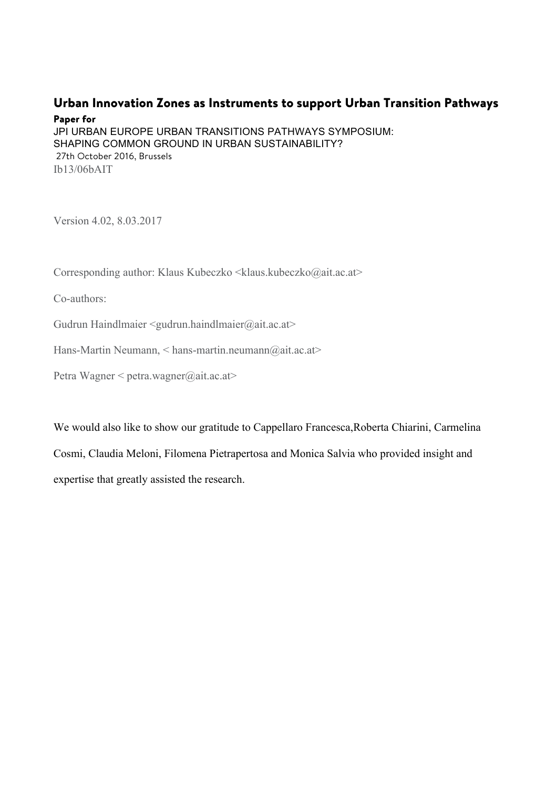## Urban Innovation Zones as Instruments to support Urban Transition Pathways

## Paper for

JPI URBAN EUROPE URBAN TRANSITIONS PATHWAYS SYMPOSIUM: SHAPING COMMON GROUND IN URBAN SUSTAINABILITY? 27th October 2016, Brussels Ib13/06bAIT

Version 4.02, 8.03.2017

Corresponding author: Klaus Kubeczko <klaus.kubeczko@ait.ac.at>

Co-authors:

Gudrun Haindlmaier <gudrun.haindlmaier@ait.ac.at>

Hans-Martin Neumann, < hans-martin.neumann@ait.ac.at>

Petra Wagner < petra.wagner@ait.ac.at>

We would also like to show our gratitude to Cappellaro Francesca,Roberta Chiarini, Carmelina Cosmi, Claudia Meloni, Filomena Pietrapertosa and Monica Salvia who provided insight and expertise that greatly assisted the research.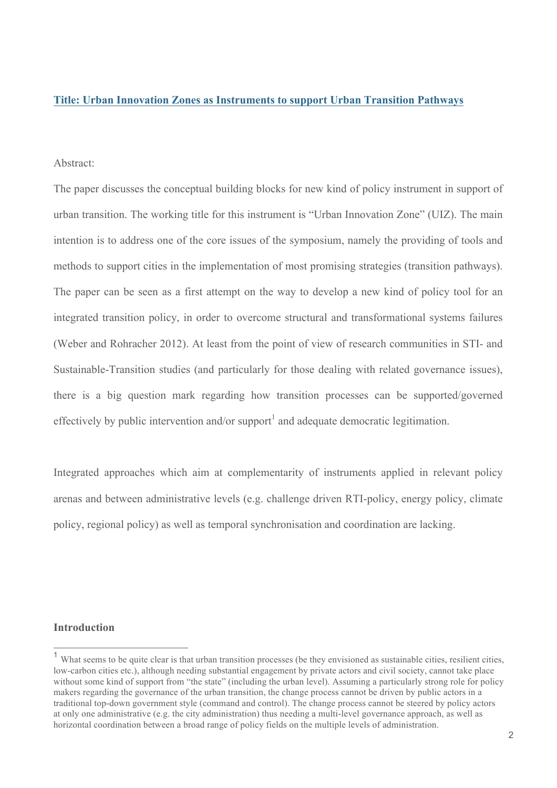#### **Title: Urban Innovation Zones as Instruments to support Urban Transition Pathways**

#### Abstract:

The paper discusses the conceptual building blocks for new kind of policy instrument in support of urban transition. The working title for this instrument is "Urban Innovation Zone" (UIZ). The main intention is to address one of the core issues of the symposium, namely the providing of tools and methods to support cities in the implementation of most promising strategies (transition pathways). The paper can be seen as a first attempt on the way to develop a new kind of policy tool for an integrated transition policy, in order to overcome structural and transformational systems failures (Weber and Rohracher 2012). At least from the point of view of research communities in STI- and Sustainable-Transition studies (and particularly for those dealing with related governance issues), there is a big question mark regarding how transition processes can be supported/governed effectively by public intervention and/or support<sup>1</sup> and adequate democratic legitimation.

Integrated approaches which aim at complementarity of instruments applied in relevant policy arenas and between administrative levels (e.g. challenge driven RTI-policy, energy policy, climate policy, regional policy) as well as temporal synchronisation and coordination are lacking.

#### **Introduction**

<sup>&</sup>lt;sup>1</sup> What seems to be quite clear is that urban transition processes (be they envisioned as sustainable cities, resilient cities, low-carbon cities etc.), although needing substantial engagement by private actors and civil society, cannot take place without some kind of support from "the state" (including the urban level). Assuming a particularly strong role for policy makers regarding the governance of the urban transition, the change process cannot be driven by public actors in a traditional top-down government style (command and control). The change process cannot be steered by policy actors at only one administrative (e.g. the city administration) thus needing a multi-level governance approach, as well as horizontal coordination between a broad range of policy fields on the multiple levels of administration.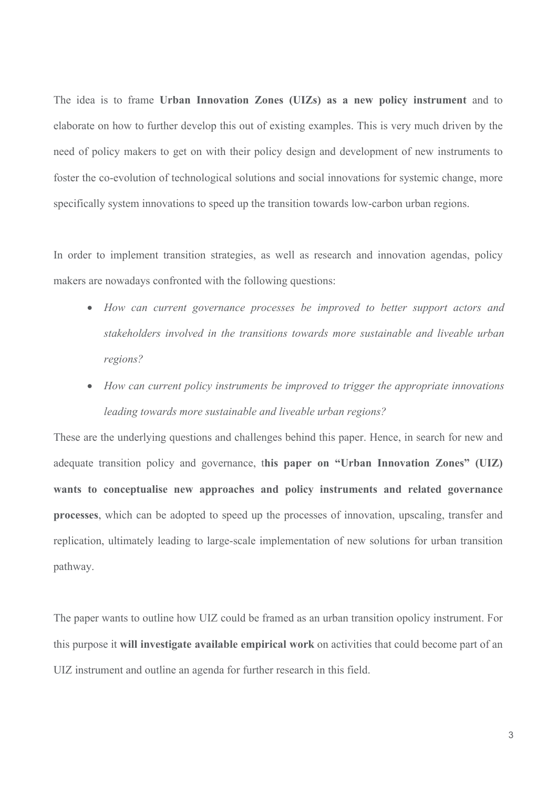The idea is to frame **Urban Innovation Zones (UIZs) as a new policy instrument** and to elaborate on how to further develop this out of existing examples. This is very much driven by the need of policy makers to get on with their policy design and development of new instruments to foster the co-evolution of technological solutions and social innovations for systemic change, more specifically system innovations to speed up the transition towards low-carbon urban regions.

In order to implement transition strategies, as well as research and innovation agendas, policy makers are nowadays confronted with the following questions:

- *How can current governance processes be improved to better support actors and stakeholders involved in the transitions towards more sustainable and liveable urban regions?*
- *How can current policy instruments be improved to trigger the appropriate innovations leading towards more sustainable and liveable urban regions?*

These are the underlying questions and challenges behind this paper. Hence, in search for new and adequate transition policy and governance, t**his paper on "Urban Innovation Zones" (UIZ) wants to conceptualise new approaches and policy instruments and related governance processes**, which can be adopted to speed up the processes of innovation, upscaling, transfer and replication, ultimately leading to large-scale implementation of new solutions for urban transition pathway.

The paper wants to outline how UIZ could be framed as an urban transition opolicy instrument. For this purpose it **will investigate available empirical work** on activities that could become part of an UIZ instrument and outline an agenda for further research in this field.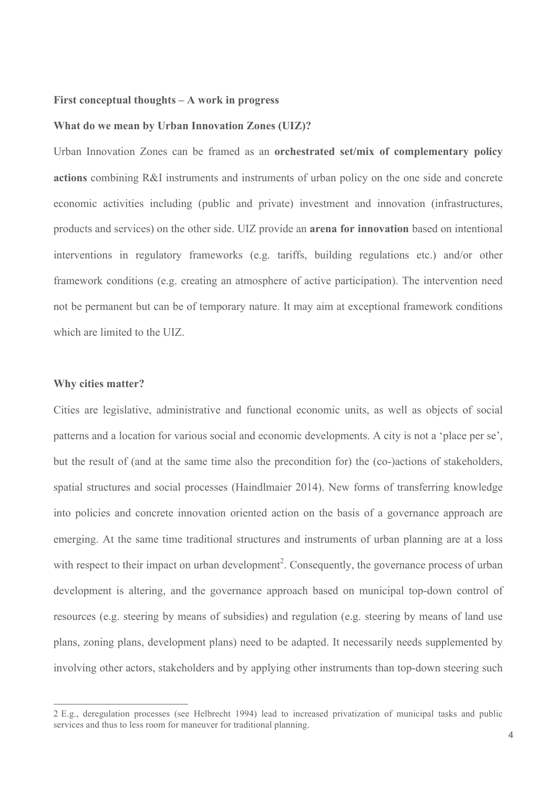#### **First conceptual thoughts – A work in progress**

#### **What do we mean by Urban Innovation Zones (UIZ)?**

Urban Innovation Zones can be framed as an **orchestrated set/mix of complementary policy actions** combining R&I instruments and instruments of urban policy on the one side and concrete economic activities including (public and private) investment and innovation (infrastructures, products and services) on the other side. UIZ provide an **arena for innovation** based on intentional interventions in regulatory frameworks (e.g. tariffs, building regulations etc.) and/or other framework conditions (e.g. creating an atmosphere of active participation). The intervention need not be permanent but can be of temporary nature. It may aim at exceptional framework conditions which are limited to the UIZ.

## **Why cities matter?**

 $\overline{a}$ 

Cities are legislative, administrative and functional economic units, as well as objects of social patterns and a location for various social and economic developments. A city is not a 'place per se', but the result of (and at the same time also the precondition for) the (co-)actions of stakeholders, spatial structures and social processes (Haindlmaier 2014). New forms of transferring knowledge into policies and concrete innovation oriented action on the basis of a governance approach are emerging. At the same time traditional structures and instruments of urban planning are at a loss with respect to their impact on urban development<sup>2</sup>. Consequently, the governance process of urban development is altering, and the governance approach based on municipal top-down control of resources (e.g. steering by means of subsidies) and regulation (e.g. steering by means of land use plans, zoning plans, development plans) need to be adapted. It necessarily needs supplemented by involving other actors, stakeholders and by applying other instruments than top-down steering such

<sup>2</sup> E.g., deregulation processes (see Helbrecht 1994) lead to increased privatization of municipal tasks and public services and thus to less room for maneuver for traditional planning.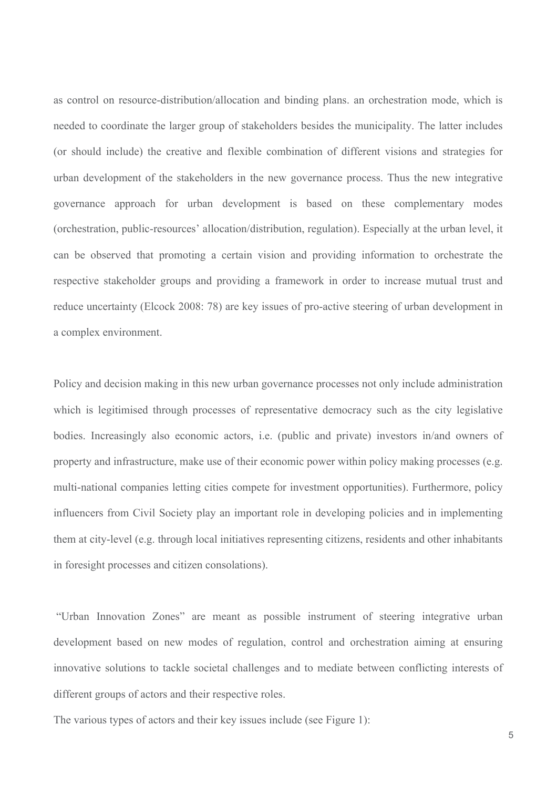as control on resource-distribution/allocation and binding plans. an orchestration mode, which is needed to coordinate the larger group of stakeholders besides the municipality. The latter includes (or should include) the creative and flexible combination of different visions and strategies for urban development of the stakeholders in the new governance process. Thus the new integrative governance approach for urban development is based on these complementary modes (orchestration, public-resources' allocation/distribution, regulation). Especially at the urban level, it can be observed that promoting a certain vision and providing information to orchestrate the respective stakeholder groups and providing a framework in order to increase mutual trust and reduce uncertainty (Elcock 2008: 78) are key issues of pro-active steering of urban development in a complex environment.

Policy and decision making in this new urban governance processes not only include administration which is legitimised through processes of representative democracy such as the city legislative bodies. Increasingly also economic actors, i.e. (public and private) investors in/and owners of property and infrastructure, make use of their economic power within policy making processes (e.g. multi-national companies letting cities compete for investment opportunities). Furthermore, policy influencers from Civil Society play an important role in developing policies and in implementing them at city-level (e.g. through local initiatives representing citizens, residents and other inhabitants in foresight processes and citizen consolations).

"Urban Innovation Zones" are meant as possible instrument of steering integrative urban development based on new modes of regulation, control and orchestration aiming at ensuring innovative solutions to tackle societal challenges and to mediate between conflicting interests of different groups of actors and their respective roles.

The various types of actors and their key issues include (see Figure 1):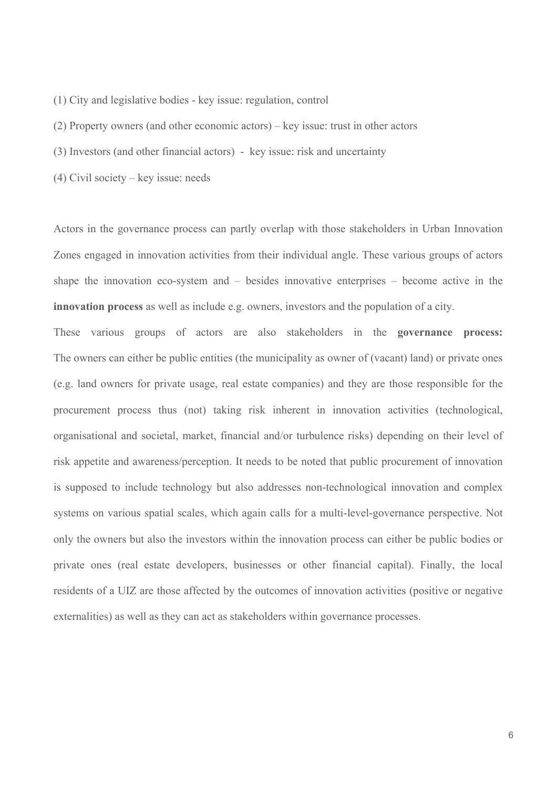- (1) City and legislative bodies key issue: regulation, control
- (2) Property owners (and other economic actors) key issue: trust in other actors
- (3) Investors (and other financial actors) key issue: risk and uncertainty
- (4) Civil society key issue: needs

Actors in the governance process can partly overlap with those stakeholders in Urban Innovation Zones engaged in innovation activities from their individual angle. These various groups of actors shape the innovation eco-system and – besides innovative enterprises – become active in the **innovation process** as well as include e.g. owners, investors and the population of a city.

These various groups of actors are also stakeholders in the **governance process:** The owners can either be public entities (the municipality as owner of (vacant) land) or private ones (e.g. land owners for private usage, real estate companies) and they are those responsible for the procurement process thus (not) taking risk inherent in innovation activities (technological, organisational and societal, market, financial and/or turbulence risks) depending on their level of risk appetite and awareness/perception. It needs to be noted that public procurement of innovation is supposed to include technology but also addresses non-technological innovation and complex systems on various spatial scales, which again calls for a multi-level-governance perspective. Not only the owners but also the investors within the innovation process can either be public bodies or private ones (real estate developers, businesses or other financial capital). Finally, the local residents of a UIZ are those affected by the outcomes of innovation activities (positive or negative externalities) as well as they can act as stakeholders within governance processes.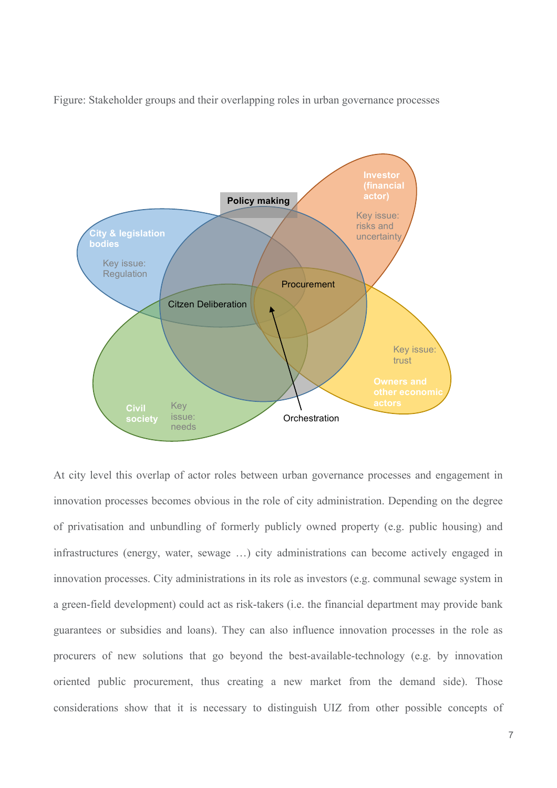Figure: Stakeholder groups and their overlapping roles in urban governance processes



At city level this overlap of actor roles between urban governance processes and engagement in innovation processes becomes obvious in the role of city administration. Depending on the degree of privatisation and unbundling of formerly publicly owned property (e.g. public housing) and infrastructures (energy, water, sewage …) city administrations can become actively engaged in innovation processes. City administrations in its role as investors (e.g. communal sewage system in a green-field development) could act as risk-takers (i.e. the financial department may provide bank guarantees or subsidies and loans). They can also influence innovation processes in the role as procurers of new solutions that go beyond the best-available-technology (e.g. by innovation oriented public procurement, thus creating a new market from the demand side). Those considerations show that it is necessary to distinguish UIZ from other possible concepts of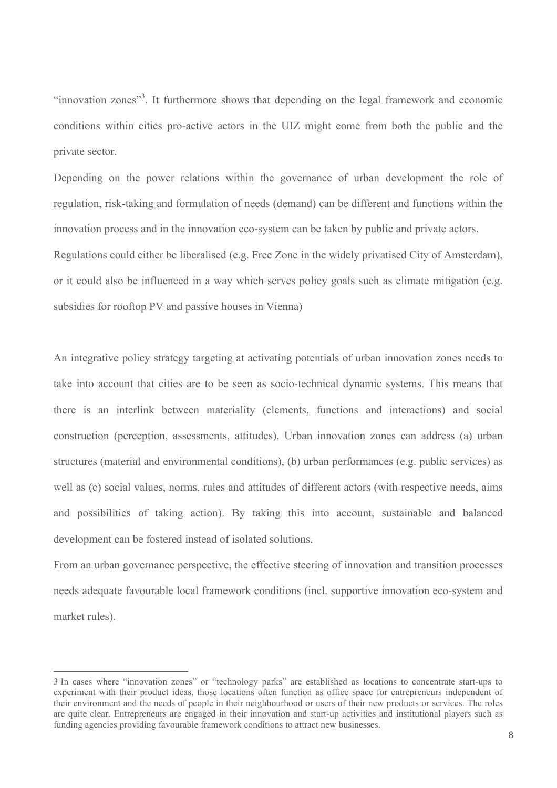"innovation zones"<sup>3</sup>. It furthermore shows that depending on the legal framework and economic conditions within cities pro-active actors in the UIZ might come from both the public and the private sector.

Depending on the power relations within the governance of urban development the role of regulation, risk-taking and formulation of needs (demand) can be different and functions within the innovation process and in the innovation eco-system can be taken by public and private actors. Regulations could either be liberalised (e.g. Free Zone in the widely privatised City of Amsterdam), or it could also be influenced in a way which serves policy goals such as climate mitigation (e.g. subsidies for rooftop PV and passive houses in Vienna)

An integrative policy strategy targeting at activating potentials of urban innovation zones needs to take into account that cities are to be seen as socio-technical dynamic systems. This means that there is an interlink between materiality (elements, functions and interactions) and social construction (perception, assessments, attitudes). Urban innovation zones can address (a) urban structures (material and environmental conditions), (b) urban performances (e.g. public services) as well as (c) social values, norms, rules and attitudes of different actors (with respective needs, aims and possibilities of taking action). By taking this into account, sustainable and balanced development can be fostered instead of isolated solutions.

From an urban governance perspective, the effective steering of innovation and transition processes needs adequate favourable local framework conditions (incl. supportive innovation eco-system and market rules).

<sup>3</sup> In cases where "innovation zones" or "technology parks" are established as locations to concentrate start-ups to experiment with their product ideas, those locations often function as office space for entrepreneurs independent of their environment and the needs of people in their neighbourhood or users of their new products or services. The roles are quite clear. Entrepreneurs are engaged in their innovation and start-up activities and institutional players such as funding agencies providing favourable framework conditions to attract new businesses.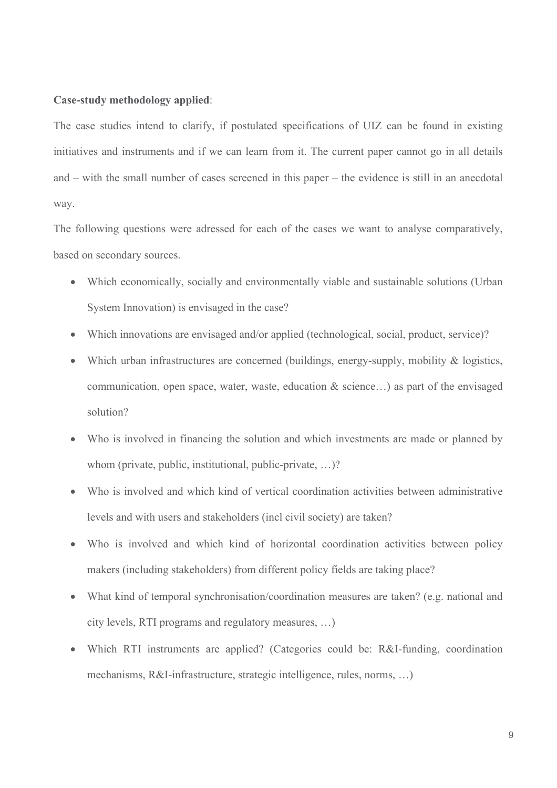### **Case-study methodology applied**:

The case studies intend to clarify, if postulated specifications of UIZ can be found in existing initiatives and instruments and if we can learn from it. The current paper cannot go in all details and – with the small number of cases screened in this paper – the evidence is still in an anecdotal way.

The following questions were adressed for each of the cases we want to analyse comparatively, based on secondary sources.

- Which economically, socially and environmentally viable and sustainable solutions (Urban System Innovation) is envisaged in the case?
- Which innovations are envisaged and/or applied (technological, social, product, service)?
- Which urban infrastructures are concerned (buildings, energy-supply, mobility & logistics, communication, open space, water, waste, education & science…) as part of the envisaged solution?
- Who is involved in financing the solution and which investments are made or planned by whom (private, public, institutional, public-private, ...)?
- Who is involved and which kind of vertical coordination activities between administrative levels and with users and stakeholders (incl civil society) are taken?
- Who is involved and which kind of horizontal coordination activities between policy makers (including stakeholders) from different policy fields are taking place?
- What kind of temporal synchronisation/coordination measures are taken? (e.g. national and city levels, RTI programs and regulatory measures, …)
- Which RTI instruments are applied? (Categories could be: R&I-funding, coordination mechanisms, R&I-infrastructure, strategic intelligence, rules, norms, …)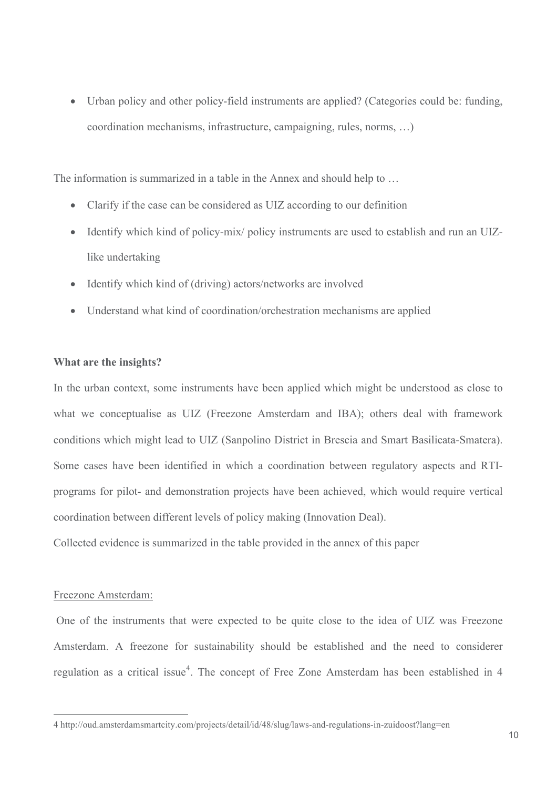• Urban policy and other policy-field instruments are applied? (Categories could be: funding, coordination mechanisms, infrastructure, campaigning, rules, norms, …)

The information is summarized in a table in the Annex and should help to …

- Clarify if the case can be considered as UIZ according to our definition
- Identify which kind of policy-mix/ policy instruments are used to establish and run an UIZlike undertaking
- Identify which kind of (driving) actors/networks are involved
- Understand what kind of coordination/orchestration mechanisms are applied

### **What are the insights?**

In the urban context, some instruments have been applied which might be understood as close to what we conceptualise as UIZ (Freezone Amsterdam and IBA); others deal with framework conditions which might lead to UIZ (Sanpolino District in Brescia and Smart Basilicata-Smatera). Some cases have been identified in which a coordination between regulatory aspects and RTIprograms for pilot- and demonstration projects have been achieved, which would require vertical coordination between different levels of policy making (Innovation Deal).

Collected evidence is summarized in the table provided in the annex of this paper

#### Freezone Amsterdam:

 $\overline{a}$ 

One of the instruments that were expected to be quite close to the idea of UIZ was Freezone Amsterdam. A freezone for sustainability should be established and the need to considerer regulation as a critical issue<sup>4</sup>. The concept of Free Zone Amsterdam has been established in 4

<sup>4</sup> http://oud.amsterdamsmartcity.com/projects/detail/id/48/slug/laws-and-regulations-in-zuidoost?lang=en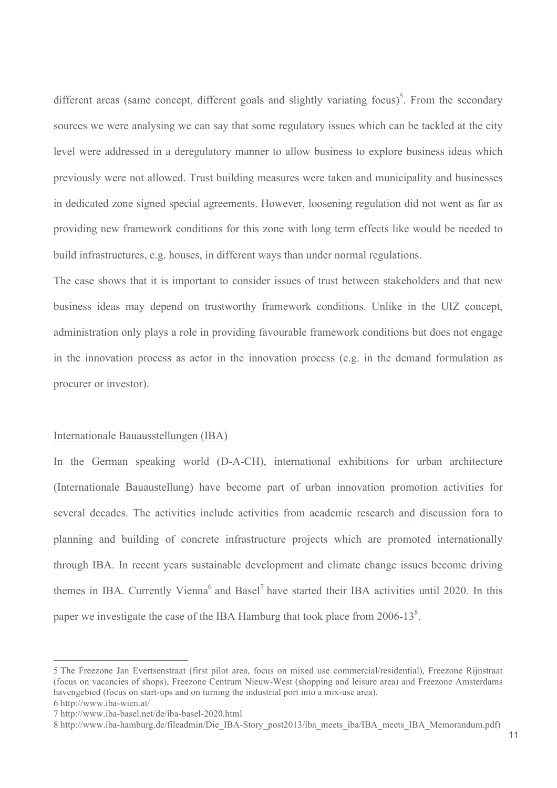different areas (same concept, different goals and slightly variating focus)<sup>5</sup>. From the secondary sources we were analysing we can say that some regulatory issues which can be tackled at the city level were addressed in a deregulatory manner to allow business to explore business ideas which previously were not allowed. Trust building measures were taken and municipality and businesses in dedicated zone signed special agreements. However, loosening regulation did not went as far as providing new framework conditions for this zone with long term effects like would be needed to build infrastructures, e.g. houses, in different ways than under normal regulations.

The case shows that it is important to consider issues of trust between stakeholders and that new business ideas may depend on trustworthy framework conditions. Unlike in the UIZ concept, administration only plays a role in providing favourable framework conditions but does not engage in the innovation process as actor in the innovation process (e.g. in the demand formulation as procurer or investor).

#### Internationale Bauausstellungen (IBA)

In the German speaking world (D-A-CH), international exhibitions for urban architecture (Internationale Bauaustellung) have become part of urban innovation promotion activities for several decades. The activities include activities from academic research and discussion fora to planning and building of concrete infrastructure projects which are promoted internationally through IBA. In recent years sustainable development and climate change issues become driving themes in IBA. Currently Vienna<sup>6</sup> and Basel<sup>7</sup> have started their IBA activities until 2020. In this paper we investigate the case of the IBA Hamburg that took place from  $2006-13^8$ .

<sup>5</sup> The Freezone Jan Evertsenstraat (first pilot area, focus on mixed use commercial/residential), Freezone Rijnstraat (focus on vacancies of shops), Freezone Centrum Nieuw-West (shopping and leisure area) and Freezone Amsterdams havengebied (focus on start-ups and on turning the industrial port into a mix-use area).

<sup>6</sup> http://www.iba-wien.at/

<sup>7</sup> http://www.iba-basel.net/de/iba-basel-2020.html

<sup>8</sup> http://www.iba-hamburg.de/fileadmin/Die\_IBA-Story\_post2013/iba\_meets\_iba/IBA\_meets\_IBA\_Memorandum.pdf)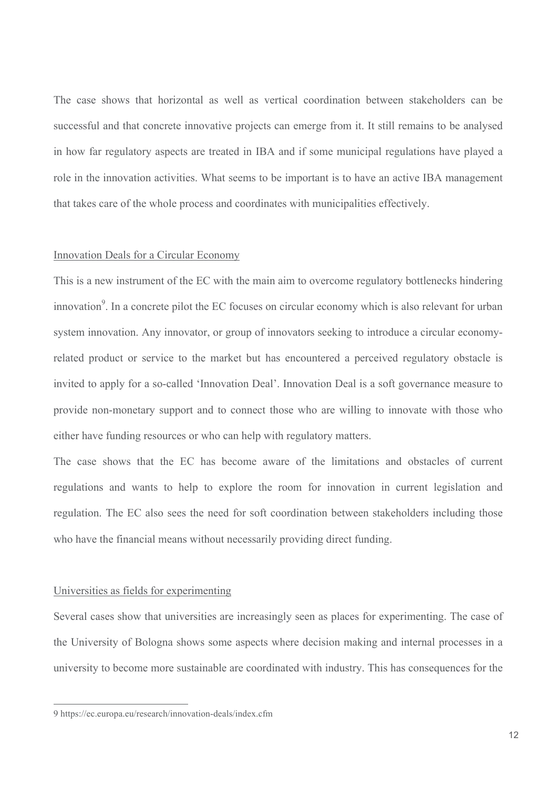The case shows that horizontal as well as vertical coordination between stakeholders can be successful and that concrete innovative projects can emerge from it. It still remains to be analysed in how far regulatory aspects are treated in IBA and if some municipal regulations have played a role in the innovation activities. What seems to be important is to have an active IBA management that takes care of the whole process and coordinates with municipalities effectively.

#### Innovation Deals for a Circular Economy

This is a new instrument of the EC with the main aim to overcome regulatory bottlenecks hindering innovation<sup>9</sup>. In a concrete pilot the EC focuses on circular economy which is also relevant for urban system innovation. Any innovator, or group of innovators seeking to introduce a circular economyrelated product or service to the market but has encountered a perceived regulatory obstacle is invited to apply for a so-called 'Innovation Deal'. Innovation Deal is a soft governance measure to provide non-monetary support and to connect those who are willing to innovate with those who either have funding resources or who can help with regulatory matters.

The case shows that the EC has become aware of the limitations and obstacles of current regulations and wants to help to explore the room for innovation in current legislation and regulation. The EC also sees the need for soft coordination between stakeholders including those who have the financial means without necessarily providing direct funding.

#### Universities as fields for experimenting

Several cases show that universities are increasingly seen as places for experimenting. The case of the University of Bologna shows some aspects where decision making and internal processes in a university to become more sustainable are coordinated with industry. This has consequences for the

<sup>9</sup> https://ec.europa.eu/research/innovation-deals/index.cfm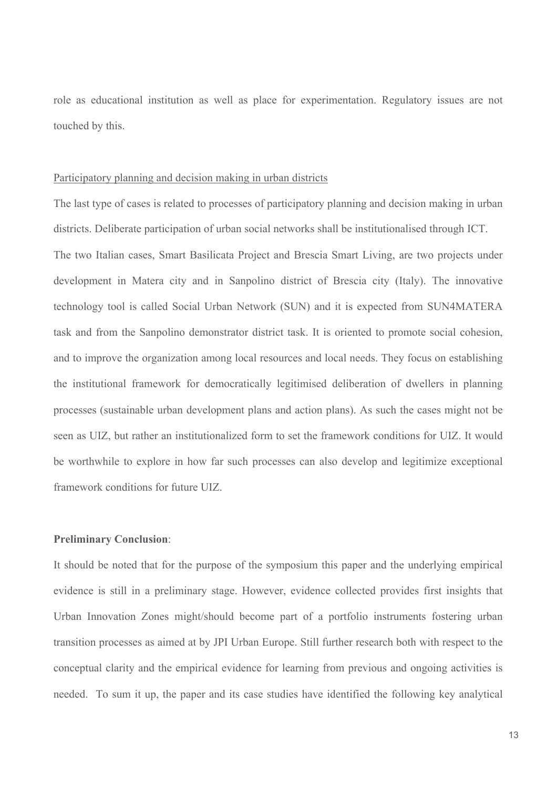role as educational institution as well as place for experimentation. Regulatory issues are not touched by this.

#### Participatory planning and decision making in urban districts

The last type of cases is related to processes of participatory planning and decision making in urban districts. Deliberate participation of urban social networks shall be institutionalised through ICT. The two Italian cases, Smart Basilicata Project and Brescia Smart Living, are two projects under development in Matera city and in Sanpolino district of Brescia city (Italy). The innovative technology tool is called Social Urban Network (SUN) and it is expected from SUN4MATERA task and from the Sanpolino demonstrator district task. It is oriented to promote social cohesion, and to improve the organization among local resources and local needs. They focus on establishing the institutional framework for democratically legitimised deliberation of dwellers in planning processes (sustainable urban development plans and action plans). As such the cases might not be seen as UIZ, but rather an institutionalized form to set the framework conditions for UIZ. It would be worthwhile to explore in how far such processes can also develop and legitimize exceptional framework conditions for future UIZ.

## **Preliminary Conclusion**:

It should be noted that for the purpose of the symposium this paper and the underlying empirical evidence is still in a preliminary stage. However, evidence collected provides first insights that Urban Innovation Zones might/should become part of a portfolio instruments fostering urban transition processes as aimed at by JPI Urban Europe. Still further research both with respect to the conceptual clarity and the empirical evidence for learning from previous and ongoing activities is needed. To sum it up, the paper and its case studies have identified the following key analytical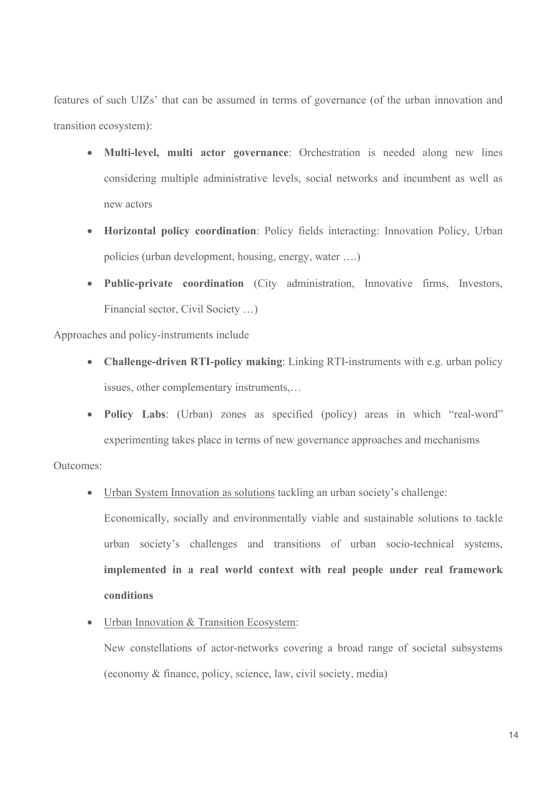features of such UIZs' that can be assumed in terms of governance (of the urban innovation and transition ecosystem):

- **Multi-level, multi actor governance**: Orchestration is needed along new lines considering multiple administrative levels, social networks and incumbent as well as new actors
- **Horizontal policy coordination**: Policy fields interacting: Innovation Policy, Urban policies (urban development, housing, energy, water ….)
- **Public-private coordination** (City administration, Innovative firms, Investors, Financial sector, Civil Society …)

Approaches and policy-instruments include

- **Challenge-driven RTI-policy making**: Linking RTI-instruments with e.g. urban policy issues, other complementary instruments,…
- **Policy Labs**: (Urban) zones as specified (policy) areas in which "real-word" experimenting takes place in terms of new governance approaches and mechanisms

Outcomes:

• Urban System Innovation as solutions tackling an urban society's challenge:

Economically, socially and environmentally viable and sustainable solutions to tackle urban society's challenges and transitions of urban socio-technical systems, **implemented in a real world context with real people under real framework conditions**

• Urban Innovation & Transition Ecosystem:

New constellations of actor-networks covering a broad range of societal subsystems (economy & finance, policy, science, law, civil society, media)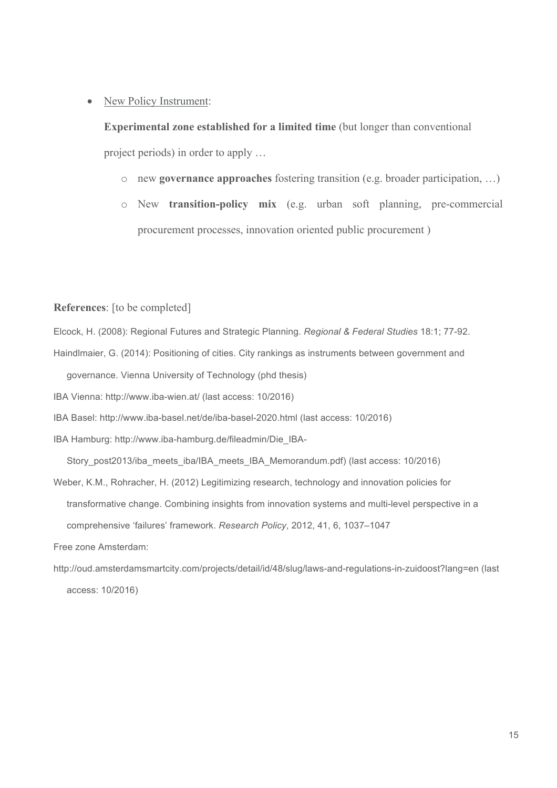## • New Policy Instrument:

**Experimental zone established for a limited time** (but longer than conventional project periods) in order to apply …

- o new **governance approaches** fostering transition (e.g. broader participation, …)
- o New **transition-policy mix** (e.g. urban soft planning, pre-commercial procurement processes, innovation oriented public procurement )

### **References**: [to be completed]

Elcock, H. (2008): Regional Futures and Strategic Planning. *Regional & Federal Studies* 18:1; 77-92.

Haindlmaier, G. (2014): Positioning of cities. City rankings as instruments between government and governance. Vienna University of Technology (phd thesis)

IBA Vienna: http://www.iba-wien.at/ (last access: 10/2016)

IBA Basel: http://www.iba-basel.net/de/iba-basel-2020.html (last access: 10/2016)

IBA Hamburg: http://www.iba-hamburg.de/fileadmin/Die\_IBA-

Story\_post2013/iba\_meets\_iba/IBA\_meets\_IBA\_Memorandum.pdf) (last access: 10/2016)

- Weber, K.M., Rohracher, H. (2012) Legitimizing research, technology and innovation policies for transformative change. Combining insights from innovation systems and multi-level perspective in a comprehensive 'failures' framework. *Research Policy*, 2012, 41, 6, 1037–1047 Free zone Amsterdam:
- http://oud.amsterdamsmartcity.com/projects/detail/id/48/slug/laws-and-regulations-in-zuidoost?lang=en (last access: 10/2016)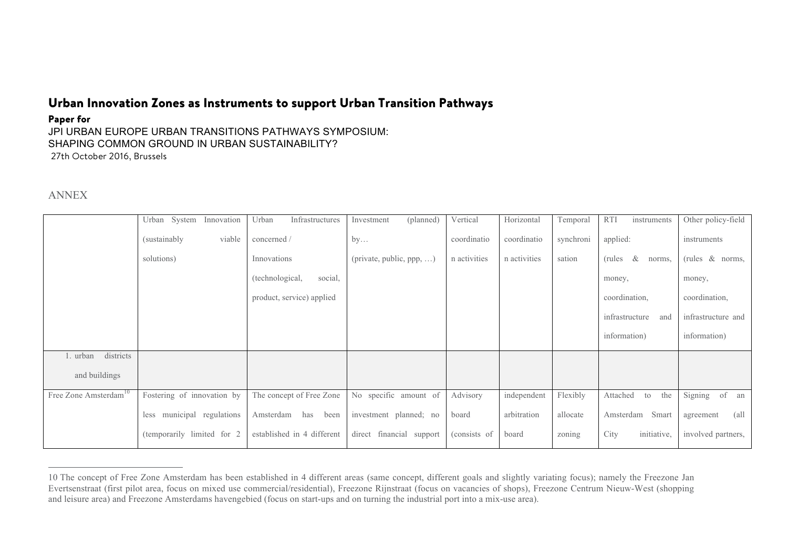## Urban Innovation Zones as Instruments to support Urban Transition Pathways

#### Paper for

JPI URBAN EUROPE URBAN TRANSITIONS PATHWAYS SYMPOSIUM: SHAPING COMMON GROUND IN URBAN SUSTAINABILITY? 27th October 2016, Brussels

## ANNEX

|                                   | Urban System Innovation       | Infrastructures<br>Urban   | (planned)<br>Investment  | Vertical     | Horizontal   | Temporal  | <b>RTI</b><br>instruments | Other policy-field  |
|-----------------------------------|-------------------------------|----------------------------|--------------------------|--------------|--------------|-----------|---------------------------|---------------------|
|                                   | (sustainably)<br>viable       | concerned /                | by                       | coordinatio  | coordinatio  | synchroni | applied:                  | instruments         |
|                                   | solutions)                    | Innovations                | (private, public, ppp, ) | n activities | n activities | sation    | &<br>(rules)<br>norms,    | (rules & norms,     |
|                                   |                               | (technological,<br>social, |                          |              |              |           | money,                    | money,              |
|                                   |                               | product, service) applied  |                          |              |              |           | coordination,             | coordination,       |
|                                   |                               |                            |                          |              |              |           | infrastructure<br>and     | infrastructure and  |
|                                   |                               |                            |                          |              |              |           | information)              | information)        |
| districts<br>l. urban             |                               |                            |                          |              |              |           |                           |                     |
| and buildings                     |                               |                            |                          |              |              |           |                           |                     |
| Free Zone Amsterdam <sup>10</sup> | Fostering of innovation by    | The concept of Free Zone   | No specific amount of    | Advisory     | independent  | Flexibly  | Attached<br>the<br>to     | Signing<br>of<br>an |
|                                   | municipal regulations<br>less | Amsterdam has<br>been      | investment planned; no   | board        | arbitration  | allocate  | Amsterdam<br>Smart        | (all<br>agreement   |
|                                   | (temporarily limited for 2)   | established in 4 different | direct financial support | (consists of | board        | zoning    | initiative,<br>City       | involved partners,  |

<sup>10</sup> The concept of Free Zone Amsterdam has been established in 4 different areas (same concept, different goals and slightly variating focus); namely the Freezone Jan Evertsenstraat (first pilot area, focus on mixed use commercial/residential), Freezone Rijnstraat (focus on vacancies of shops), Freezone Centrum Nieuw-West (shopping and leisure area) and Freezone Amsterdams havengebied (focus on start-ups and on turning the industrial port into a mix-use area).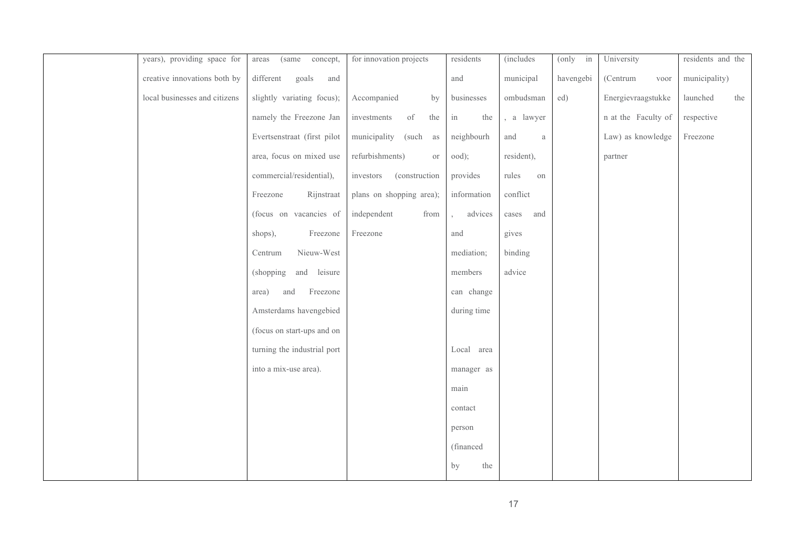| years), providing space for   | concept,<br>(same)<br>areas | for innovation projects     | residents   | <i>(includes)</i> | (only<br>in | University          | residents and the |
|-------------------------------|-----------------------------|-----------------------------|-------------|-------------------|-------------|---------------------|-------------------|
| creative innovations both by  | goals<br>different<br>and   |                             | and         | municipal         | havengebi   | (Centrum<br>voor    | municipality)     |
| local businesses and citizens | slightly variating focus);  | Accompanied<br>by           | businesses  | ombudsman         | ed)         | Energievraagstukke  | launched<br>the   |
|                               | namely the Freezone Jan     | the<br>investments<br>of    | in<br>the   | , a lawyer        |             | n at the Faculty of | respective        |
|                               | Evertsenstraat (first pilot | municipality<br>(such as    | neighbourh  | and<br>$\rm{a}$   |             | Law) as knowledge   | Freezone          |
|                               | area, focus on mixed use    | refurbishments)<br>or       | ood);       | resident),        |             | partner             |                   |
|                               | commercial/residential),    | (construction)<br>investors | provides    | rules<br>on       |             |                     |                   |
|                               | Rijnstraat<br>Freezone      | plans on shopping area);    | information | conflict          |             |                     |                   |
|                               | (focus on vacancies of      | independent<br>from         | advices     | and<br>cases      |             |                     |                   |
|                               | Freezone<br>shops),         | Freezone                    | and         | gives             |             |                     |                   |
|                               | Nieuw-West<br>Centrum       |                             | mediation;  | binding           |             |                     |                   |
|                               | (shopping<br>and leisure    |                             | members     | advice            |             |                     |                   |
|                               | Freezone<br>and<br>area)    |                             | can change  |                   |             |                     |                   |
|                               | Amsterdams havengebied      |                             | during time |                   |             |                     |                   |
|                               | (focus on start-ups and on  |                             |             |                   |             |                     |                   |
|                               | turning the industrial port |                             | Local area  |                   |             |                     |                   |
|                               | into a mix-use area).       |                             | manager as  |                   |             |                     |                   |
|                               |                             |                             | main        |                   |             |                     |                   |
|                               |                             |                             | contact     |                   |             |                     |                   |
|                               |                             |                             | person      |                   |             |                     |                   |
|                               |                             |                             | (financed   |                   |             |                     |                   |
|                               |                             |                             | by<br>the   |                   |             |                     |                   |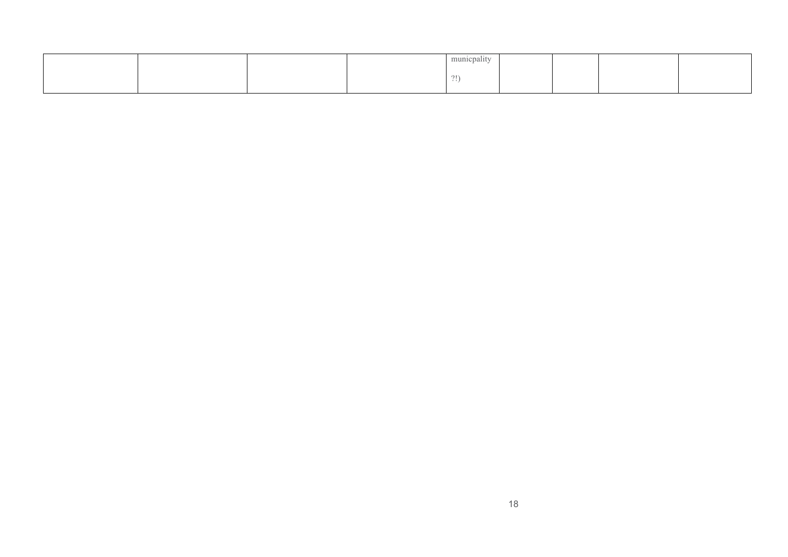|  |              | $\rightarrow$<br>municpality |  |  |
|--|--------------|------------------------------|--|--|
|  | 01<br>$\sim$ |                              |  |  |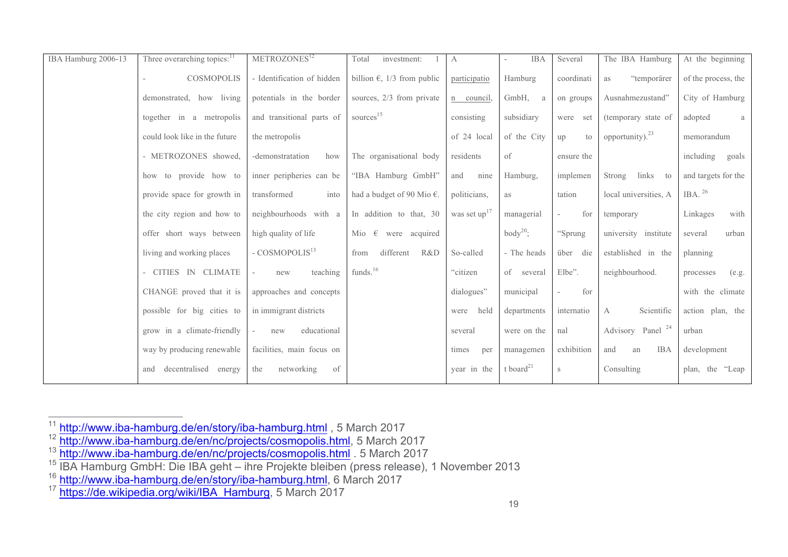| IBA Hamburg 2006-13 | Three overarching topics: <sup>11</sup> | METROZONES <sup>12</sup>   | Total<br>investment:                 | А                        | <b>IBA</b>            | Several            | The IBA Hamburg              | At the beginning    |
|---------------------|-----------------------------------------|----------------------------|--------------------------------------|--------------------------|-----------------------|--------------------|------------------------------|---------------------|
|                     | <b>COSMOPOLIS</b>                       | - Identification of hidden | billion $\epsilon$ , 1/3 from public | participatio             | Hamburg               | coordinati         | "temporärer<br>as            | of the process, the |
|                     | demonstrated, how living                | potentials in the border   | sources, 2/3 from private            | n council.               | GmbH,<br>a            | on groups          | Ausnahmezustand"             | City of Hamburg     |
|                     | together in a metropolis                | and transitional parts of  | sources <sup>15</sup>                | consisting               | subsidiary            | were<br>set        | (temporary state of          | adopted<br>a        |
|                     | could look like in the future           | the metropolis             |                                      | of 24 local              | of the City           | up<br>$t_{\Omega}$ | opportunity). $^{23}$        | memorandum          |
|                     | - METROZONES showed,                    | -demonstratation<br>how    | The organisational body              | residents                | of                    | ensure the         |                              | including<br>goals  |
|                     | how to provide how to                   | inner peripheries can be   | "IBA Hamburg GmbH"                   | nine<br>and              | Hamburg,              | implemen           | links to<br>Strong           | and targets for the |
|                     | provide space for growth in             | into<br>transformed        | had a budget of 90 Mio $\epsilon$ .  | politicians,             | as                    | tation             | local universities, A        | IBA. $^{26}$        |
|                     | the city region and how to              | neighbourhoods with a      | In addition to that, 30              | was set up <sup>17</sup> | managerial            | for                | temporary                    | with<br>Linkages    |
|                     | offer short ways between                | high quality of life       | Mio $\epsilon$ were acquired         |                          | body <sup>20</sup> ;  | "Sprung            | university institute         | urban<br>several    |
|                     | living and working places               | - COSMOPOLIS <sup>13</sup> | different<br>R&D<br>from             | So-called                | - The heads           | über<br>die        | established in the           | planning            |
|                     | - CITIES IN CLIMATE                     | teaching<br>new            | funds. <sup>16</sup>                 | "citizen                 | of several            | Elbe".             | neighbourhood.               | (e.g.<br>processes  |
|                     | CHANGE proved that it is                | approaches and concepts    |                                      | dialogues"               | municipal             | for                |                              | with the climate    |
|                     | possible for big cities to              | in immigrant districts     |                                      | held<br>were             | departments           | internatio         | Scientific<br>A              | action plan, the    |
|                     | grow in a climate-friendly              | educational<br>new         |                                      | several                  | were on the           | nal                | Advisory Panel <sup>24</sup> | urban               |
|                     | way by producing renewable              | facilities, main focus on  |                                      | times<br>per             | managemen             | exhibition         | <b>IBA</b><br>and<br>an      | development         |
|                     | decentralised<br>energy<br>and          | networking<br>of<br>the    |                                      | year in the              | t board <sup>21</sup> | S                  | Consulting                   | plan, the "Leap     |

<sup>11</sup> http://www.iba-hamburg.de/en/story/iba-hamburg.html , 5 March 2017

<sup>&</sup>lt;sup>12</sup> http://www.iba-hamburg.de/en/nc/projects/cosmopolis.html, 5 March 2017

<sup>&</sup>lt;sup>13</sup> http://www.iba-hamburg.de/en/nc/projects/cosmopolis.html . 5 March 2017

<sup>&</sup>lt;sup>15</sup> IBA Hamburg GmbH: Die IBA geht – ihre Projekte bleiben (press release), 1 November 2013

<sup>&</sup>lt;sup>16</sup> http://www.iba-hamburg.de/en/story/iba-hamburg.html, 6 March 2017

<sup>&</sup>lt;sup>17</sup> https://de.wikipedia.org/wiki/IBA\_Hamburg, 5 March 2017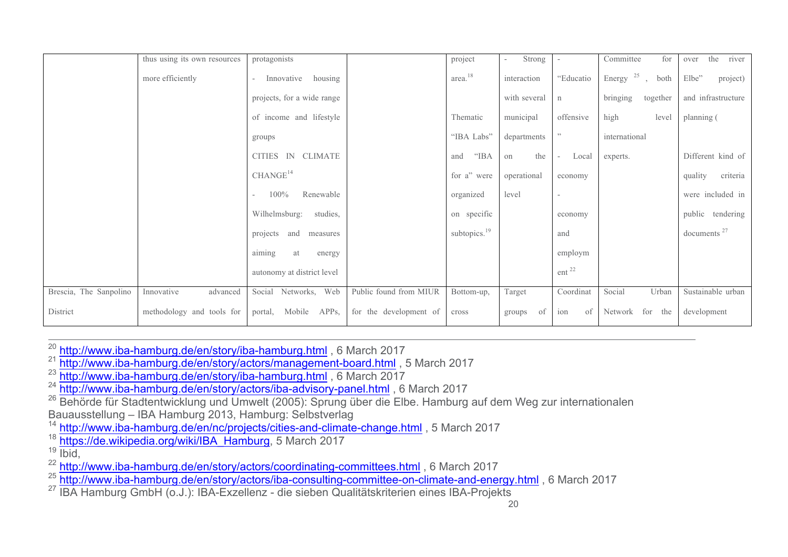|                        | thus using its own resources | protagonists                                  |                        | project                  | Strong       |                                   | for<br>Committee         | river<br>the<br>over |
|------------------------|------------------------------|-----------------------------------------------|------------------------|--------------------------|--------------|-----------------------------------|--------------------------|----------------------|
|                        | more efficiently             | housing<br>Innovative<br>$\sim$               |                        | area. <sup>18</sup>      | interaction  | "Educatio                         | Energy $^{25}$ ,<br>both | Elbe"<br>project)    |
|                        |                              | projects, for a wide range                    |                        |                          | with several | n                                 | bringing<br>together     | and infrastructure   |
|                        |                              | of income and lifestyle                       |                        | Thematic                 | municipal    | offensive                         | high<br>level            | planning (           |
|                        |                              | groups                                        |                        | "IBA Labs"               | departments  | $\overline{\phantom{a}}$          | international            |                      |
|                        |                              | CITIES IN CLIMATE                             |                        | "IBA"<br>and             | the<br>on    | Local<br>$\overline{\phantom{a}}$ | experts.                 | Different kind of    |
|                        |                              | CHANGE <sup>14</sup>                          |                        | for a" were              | operational  | economy                           |                          | criteria<br>quality  |
|                        |                              | Renewable<br>100%<br>$\overline{\phantom{0}}$ |                        | organized                | level        | $\overline{\phantom{a}}$          |                          | were included in     |
|                        |                              | Wilhelmsburg:<br>studies,                     |                        | on specific              |              | economy                           |                          | public tendering     |
|                        |                              | projects and<br>measures                      |                        | subtopics. <sup>19</sup> |              | and                               |                          | documents $27$       |
|                        |                              | aiming<br>at<br>energy                        |                        |                          |              | employm                           |                          |                      |
|                        |                              | autonomy at district level                    |                        |                          |              | ent <sup>22</sup>                 |                          |                      |
| Brescia, The Sanpolino | Innovative<br>advanced       | Social Networks, Web                          | Public found from MIUR | Bottom-up,               | Target       | Coordinat                         | Social<br>Urban          | Sustainable urban    |
| District               | methodology and tools for    | Mobile<br>APP <sub>s</sub> ,<br>portal,       | for the development of | cross                    | of<br>groups | of<br>ion                         | for<br>Network<br>the    | development          |

<sup>20</sup> http://www.iba-hamburg.de/en/story/iba-hamburg.html , 6 March 2017

<sup>21</sup> http://www.iba-hamburg.de/en/story/actors/management-board.html, 5 March 2017

<sup>23</sup> http://www.iba-hamburg.de/en/story/iba-hamburg.html, 6 March 2017

<sup>24</sup> http://www.iba-hamburg.de/en/story/actors/iba-advisory-panel.html, 6 March 2017

<sup>26</sup> Behörde für Stadtentwicklung und Umwelt (2005): Sprung über die Elbe. Hamburg auf dem Weg zur internationalen Bauausstellung – IBA Hamburg 2013, Hamburg: Selbstverlag

<sup>14</sup> http://www.iba-hamburg.de/en/nc/projects/cities-and-climate-change.html, 5 March 2017

<sup>18</sup> https://de.wikipedia.org/wiki/IBA\_Hamburg, 5 March 2017

 $19 \overline{\text{lbid}}$ 

<sup>22</sup> http://www.iba-hamburg.de/en/story/actors/coordinating-committees.html, 6 March 2017

<sup>25</sup> http://www.iba-hamburg.de/en/story/actors/iba-consulting-committee-on-climate-and-energy.html, 6 March 2017

<sup>27</sup> IBA Hamburg GmbH (o.J.): IBA-Exzellenz - die sieben Qualitätskriterien eines IBA-Projekts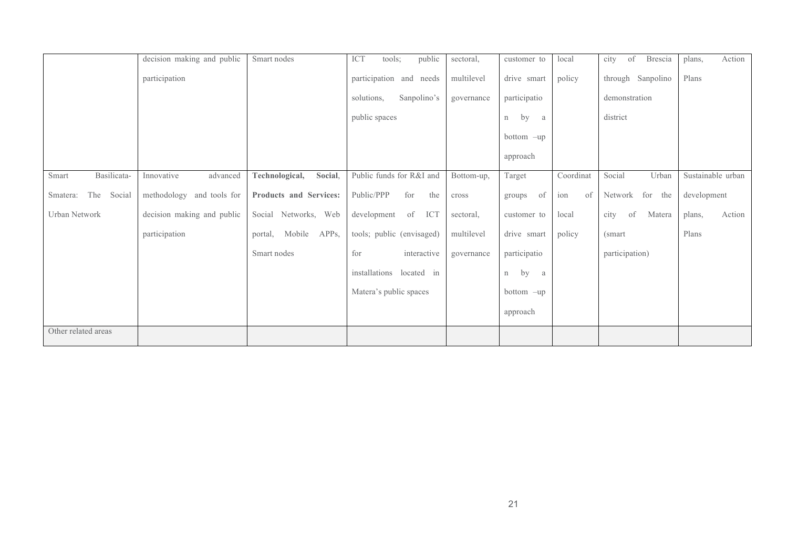|                           | decision making and public | Smart nodes               | ICT<br>tools;<br>public   | sectoral,  | customer to  | local     | of<br>city<br>Brescia | Action<br>plans,  |
|---------------------------|----------------------------|---------------------------|---------------------------|------------|--------------|-----------|-----------------------|-------------------|
|                           | participation              |                           | participation and needs   | multilevel | drive smart  | policy    | through Sanpolino     | Plans             |
|                           |                            |                           | Sanpolino's<br>solutions, | governance | participatio |           | demonstration         |                   |
|                           |                            |                           | public spaces             |            | by<br>n<br>a |           | district              |                   |
|                           |                            |                           |                           |            | bottom -up   |           |                       |                   |
|                           |                            |                           |                           |            | approach     |           |                       |                   |
| Basilicata-<br>Smart      | Innovative<br>advanced     | Technological,<br>Social, | Public funds for R&I and  | Bottom-up, | Target       | Coordinat | Social<br>Urban       | Sustainable urban |
| The<br>Social<br>Smatera: | methodology and tools for  | Products and Services:    | Public/PPP<br>for<br>the  | cross      | of<br>groups | of<br>ion | Network<br>for the    | development       |
| Urban Network             | decision making and public | Social Networks, Web      | development<br>of<br>ICT  | sectoral,  | customer to  | local     | city<br>of<br>Matera  | Action<br>plans,  |
|                           | participation              | Mobile APPs,<br>portal,   | tools; public (envisaged) | multilevel | drive smart  | policy    | (smart)               | Plans             |
|                           |                            | Smart nodes               | for<br>interactive        | governance | participatio |           | participation)        |                   |
|                           |                            |                           | installations located in  |            | by<br>n<br>a |           |                       |                   |
|                           |                            |                           | Matera's public spaces    |            | $bottom$ -up |           |                       |                   |
|                           |                            |                           |                           |            | approach     |           |                       |                   |
| Other related areas       |                            |                           |                           |            |              |           |                       |                   |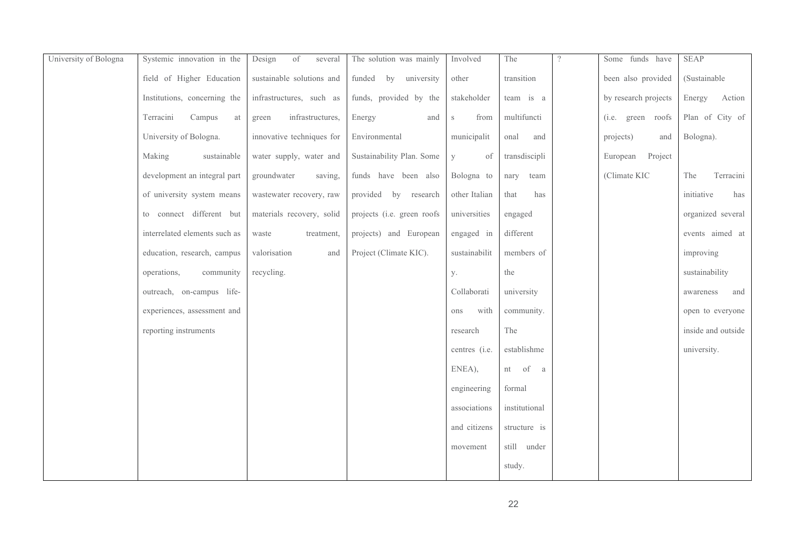| University of Bologna | Systemic innovation in the    | of<br>Design<br>several   | The solution was mainly    | Involved           | The           | $\gamma$ | Some funds have      | <b>SEAP</b>        |
|-----------------------|-------------------------------|---------------------------|----------------------------|--------------------|---------------|----------|----------------------|--------------------|
|                       | field of Higher Education     | sustainable solutions and | funded by university       | other              | transition    |          | been also provided   | (Sustainable       |
|                       | Institutions, concerning the  | infrastructures, such as  | funds, provided by the     | stakeholder        | team is a     |          | by research projects | Energy<br>Action   |
|                       | Terracini<br>Campus<br>at     | infrastructures,<br>green | Energy<br>and              | from<br>$\,$ S     | multifuncti   |          | (i.e. green roofs    | Plan of City of    |
|                       | University of Bologna.        | innovative techniques for | Environmental              | municipalit        | onal<br>and   |          | projects)<br>and     | Bologna).          |
|                       | Making<br>sustainable         | water supply, water and   | Sustainability Plan. Some  | $\mathbf{V}$<br>of | transdiscipli |          | Project<br>European  |                    |
|                       | development an integral part  | groundwater<br>saving,    | funds have been also       | Bologna to         | team<br>nary  |          | (Climate KIC         | The<br>Terracini   |
|                       | of university system means    | wastewater recovery, raw  | provided by research       | other Italian      | that<br>has   |          |                      | initiative<br>has  |
|                       | to connect different but      | materials recovery, solid | projects (i.e. green roofs | universities       | engaged       |          |                      | organized several  |
|                       | interrelated elements such as | waste<br>treatment,       | projects) and European     | engaged in         | different     |          |                      | events aimed at    |
|                       | education, research, campus   | valorisation<br>and       | Project (Climate KIC).     | sustainabilit      | members of    |          |                      | improving          |
|                       | operations,<br>community      | recycling.                |                            | у.                 | the           |          |                      | sustainability     |
|                       | outreach, on-campus life-     |                           |                            | Collaborati        | university    |          |                      | and<br>awareness   |
|                       | experiences, assessment and   |                           |                            | with<br>ons        | community.    |          |                      | open to everyone   |
|                       | reporting instruments         |                           |                            | research           | The           |          |                      | inside and outside |
|                       |                               |                           |                            | centres (i.e.      | establishme   |          |                      | university.        |
|                       |                               |                           |                            | ENEA),             | nt of a       |          |                      |                    |
|                       |                               |                           |                            | engineering        | formal        |          |                      |                    |
|                       |                               |                           |                            | associations       | institutional |          |                      |                    |
|                       |                               |                           |                            | and citizens       | structure is  |          |                      |                    |
|                       |                               |                           |                            | movement           | still under   |          |                      |                    |
|                       |                               |                           |                            |                    | study.        |          |                      |                    |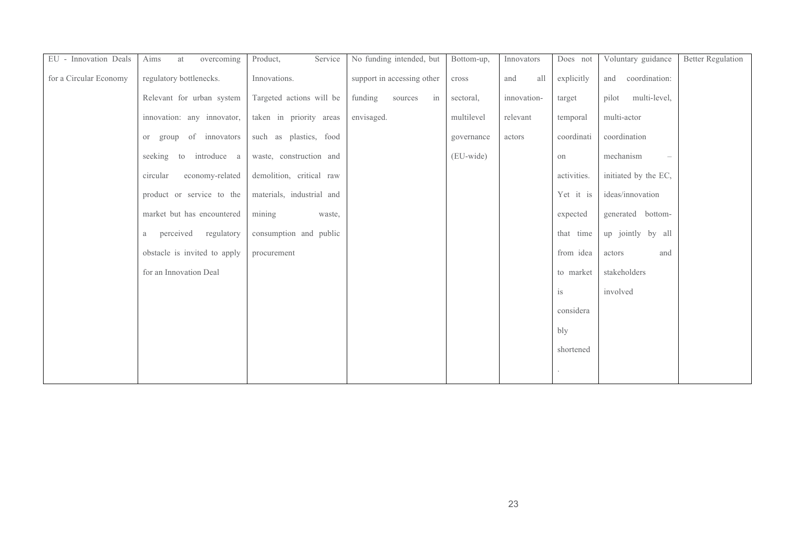| EU - Innovation Deals  | Aims<br>overcoming<br>at     | Service<br>Product,       | No funding intended, but   | Bottom-up, | Innovators  | Does not    | Voluntary guidance                    | <b>Better Regulation</b> |
|------------------------|------------------------------|---------------------------|----------------------------|------------|-------------|-------------|---------------------------------------|--------------------------|
| for a Circular Economy | regulatory bottlenecks.      | Innovations.              | support in accessing other | cross      | all<br>and  | explicitly  | coordination:<br>and                  |                          |
|                        | Relevant for urban system    | Targeted actions will be  | funding<br>sources<br>in   | sectoral,  | innovation- | target      | multi-level,<br>pilot                 |                          |
|                        | innovation: any innovator,   | taken in priority areas   | envisaged.                 | multilevel | relevant    | temporal    | multi-actor                           |                          |
|                        | of innovators<br>group<br>or | such as plastics, food    |                            | governance | actors      | coordinati  | coordination                          |                          |
|                        | seeking to<br>introduce a    | waste, construction and   |                            | (EU-wide)  |             | on          | mechanism<br>$\overline{\phantom{0}}$ |                          |
|                        | economy-related<br>circular  | demolition, critical raw  |                            |            |             | activities. | initiated by the EC,                  |                          |
|                        | product or service to the    | materials, industrial and |                            |            |             | Yet it is   | ideas/innovation                      |                          |
|                        | market but has encountered   | mining<br>waste,          |                            |            |             | expected    | generated bottom-                     |                          |
|                        | perceived<br>regulatory<br>a | consumption and public    |                            |            |             | that time   | up jointly by all                     |                          |
|                        | obstacle is invited to apply | procurement               |                            |            |             | from idea   | actors<br>and                         |                          |
|                        | for an Innovation Deal       |                           |                            |            |             | to market   | stakeholders                          |                          |
|                        |                              |                           |                            |            |             | is          | involved                              |                          |
|                        |                              |                           |                            |            |             | considera   |                                       |                          |
|                        |                              |                           |                            |            |             | bly         |                                       |                          |
|                        |                              |                           |                            |            |             | shortened   |                                       |                          |
|                        |                              |                           |                            |            |             |             |                                       |                          |